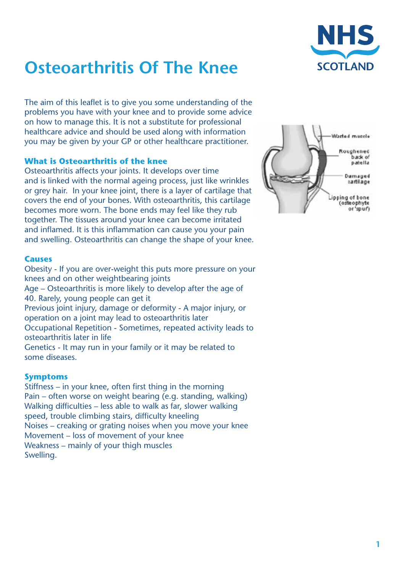# **Osteoarthritis Of The Knee**



The aim of this leaflet is to give you some understanding of the problems you have with your knee and to provide some advice on how to manage this. It is not a substitute for professional healthcare advice and should be used along with information you may be given by your GP or other healthcare practitioner.

# **What is Osteoarthritis of the knee**

Osteoarthritis affects your joints. It develops over time and is linked with the normal ageing process, just like wrinkles or grey hair. In your knee joint, there is a layer of cartilage that covers the end of your bones. With osteoarthritis, this cartilage becomes more worn. The bone ends may feel like they rub together. The tissues around your knee can become irritated and inflamed. It is this inflammation can cause you your pain and swelling. Osteoarthritis can change the shape of your knee.

#### **Causes**

Obesity - If you are over-weight this puts more pressure on your knees and on other weightbearing joints Age – Osteoarthritis is more likely to develop after the age of 40. Rarely, young people can get it Previous joint injury, damage or deformity - A major injury, or operation on a joint may lead to osteoarthritis later Occupational Repetition - Sometimes, repeated activity leads to osteoarthritis later in life Genetics - It may run in your family or it may be related to some diseases.

#### **Symptoms**

Stiffness – in your knee, often first thing in the morning Pain – often worse on weight bearing (e.g. standing, walking) Walking difficulties – less able to walk as far, slower walking speed, trouble climbing stairs, difficulty kneeling Noises – creaking or grating noises when you move your knee Movement – loss of movement of your knee Weakness – mainly of your thigh muscles Swelling.

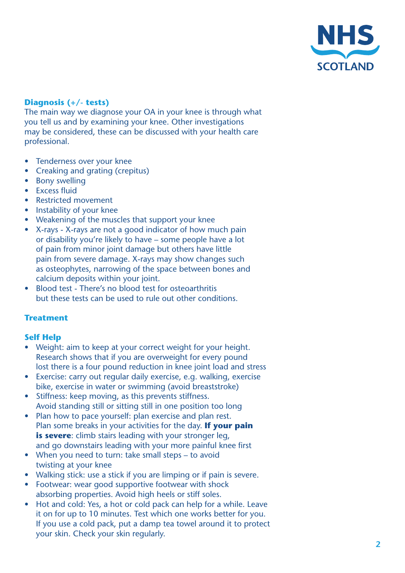

# **Diagnosis (+/- tests)**

The main way we diagnose your OA in your knee is through what you tell us and by examining your knee. Other investigations may be considered, these can be discussed with your health care professional.

- Tenderness over your knee
- Creaking and grating (crepitus)
- Bony swelling
- Excess fluid
- Restricted movement
- Instability of your knee
- Weakening of the muscles that support your knee
- X-rays X-rays are not a good indicator of how much pain or disability you're likely to have – some people have a lot of pain from minor joint damage but others have little pain from severe damage. X-rays may show changes such as osteophytes, narrowing of the space between bones and calcium deposits within your joint.
- Blood test There's no blood test for osteoarthritis but these tests can be used to rule out other conditions.

#### **Treatment**

#### **Self Help**

- Weight: aim to keep at your correct weight for your height. Research shows that if you are overweight for every pound lost there is a four pound reduction in knee joint load and stress
- Exercise: carry out regular daily exercise, e.g. walking, exercise bike, exercise in water or swimming (avoid breaststroke)
- Stiffness: keep moving, as this prevents stiffness. Avoid standing still or sitting still in one position too long
- Plan how to pace yourself: plan exercise and plan rest. Plan some breaks in your activities for the day. **If your pain is severe**: climb stairs leading with your stronger leg, and go downstairs leading with your more painful knee first
- When you need to turn: take small steps to avoid twisting at your knee
- Walking stick: use a stick if you are limping or if pain is severe.
- Footwear: wear good supportive footwear with shock absorbing properties. Avoid high heels or stiff soles.
- Hot and cold: Yes, a hot or cold pack can help for a while. Leave it on for up to 10 minutes. Test which one works better for you. If you use a cold pack, put a damp tea towel around it to protect your skin. Check your skin regularly.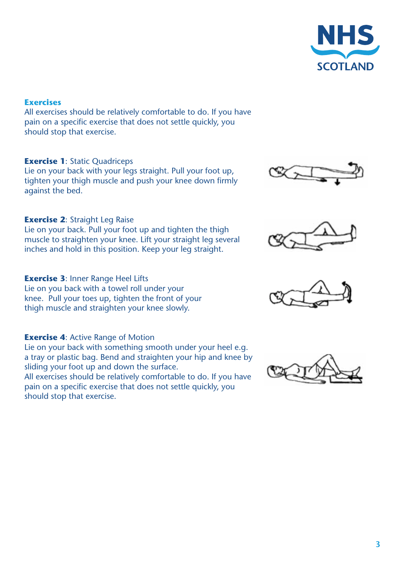

#### **Exercises**

All exercises should be relatively comfortable to do. If you have pain on a specific exercise that does not settle quickly, you should stop that exercise.

# **Exercise 1: Static Quadriceps**

Lie on your back with your legs straight. Pull your foot up, tighten your thigh muscle and push your knee down firmly against the bed.

# **Exercise 2: Straight Leg Raise**

Lie on your back. Pull your foot up and tighten the thigh muscle to straighten your knee. Lift your straight leg several inches and hold in this position. Keep your leg straight.

# **Exercise 3**: Inner Range Heel Lifts

Lie on you back with a towel roll under your knee. Pull your toes up, tighten the front of your thigh muscle and straighten your knee slowly.

#### **Exercise 4: Active Range of Motion**

Lie on your back with something smooth under your heel e.g. a tray or plastic bag. Bend and straighten your hip and knee by sliding your foot up and down the surface. All exercises should be relatively comfortable to do. If you have pain on a specific exercise that does not settle quickly, you should stop that exercise.